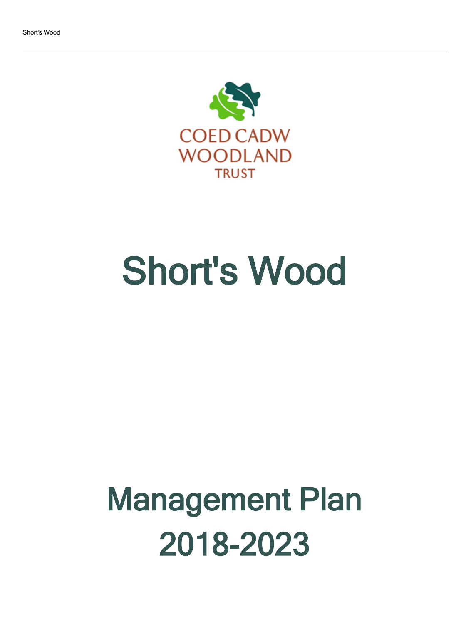

# Short's Wood

## Management Plan 2018-2023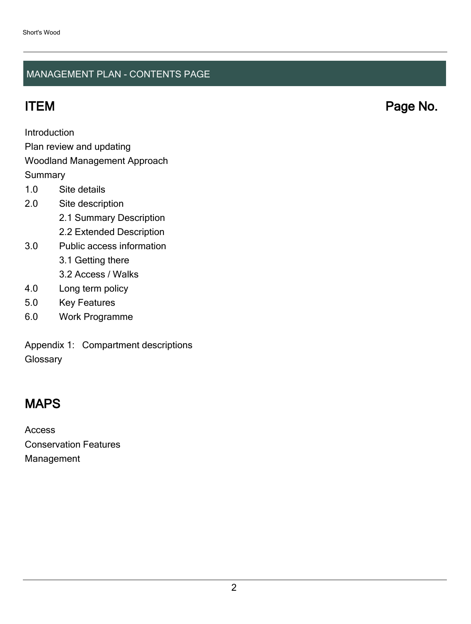### MANAGEMENT PLAN - CONTENTS PAGE

**Introduction** 

Plan review and updating

### Woodland Management Approach

**Summary** 

- 1.0 Site details
- 2.0 Site description
	- 2.1 Summary Description
	- 2.2 Extended Description
- 3.0 Public access information
	- 3.1 Getting there
	- 3.2 Access / Walks
- 4.0 Long term policy
- 5.0 Key Features
- 6.0 Work Programme

Appendix 1: Compartment descriptions **Glossary** 

## MAPS

Access Conservation Features Management

ITEM Page No.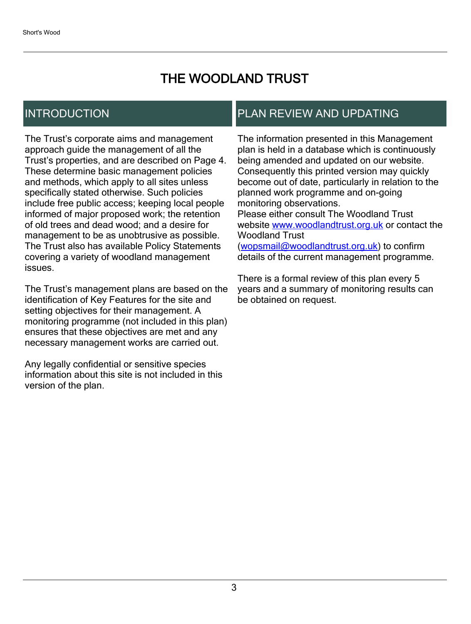## THE WOODLAND TRUST

## INTRODUCTION

The Trust's corporate aims and management approach guide the management of all the Trust's properties, and are described on Page 4. These determine basic management policies and methods, which apply to all sites unless specifically stated otherwise. Such policies include free public access; keeping local people informed of major proposed work; the retention of old trees and dead wood; and a desire for management to be as unobtrusive as possible. The Trust also has available Policy Statements covering a variety of woodland management issues.

The Trust's management plans are based on the identification of Key Features for the site and setting objectives for their management. A monitoring programme (not included in this plan) ensures that these objectives are met and any necessary management works are carried out.

Any legally confidential or sensitive species information about this site is not included in this version of the plan.

## PLAN REVIEW AND UPDATING

The information presented in this Management plan is held in a database which is continuously being amended and updated on our website. Consequently this printed version may quickly become out of date, particularly in relation to the planned work programme and on-going monitoring observations. Please either consult The Woodland Trust website [www.woodlandtrust.org.uk](http://www.woodlandtrust.org.uk/) or contact the Woodland Trust [\(wopsmail@woodlandtrust.org.uk](mailto:wopsmail@woodlandtrust.org.uk)) to confirm

details of the current management programme.

There is a formal review of this plan every 5 years and a summary of monitoring results can be obtained on request.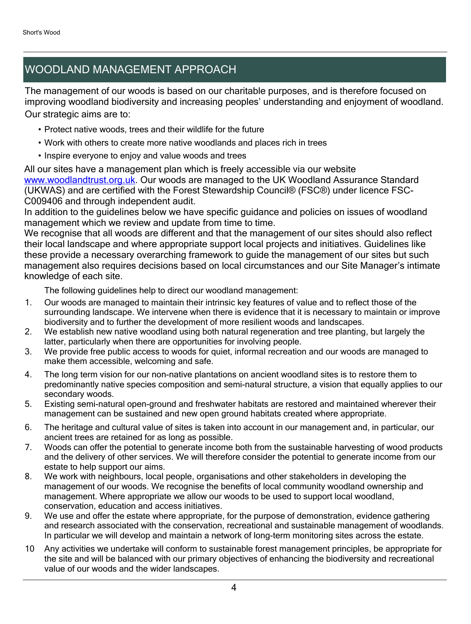## WOODLAND MANAGEMENT APPROACH

The management of our woods is based on our charitable purposes, and is therefore focused on improving woodland biodiversity and increasing peoples' understanding and enjoyment of woodland. Our strategic aims are to:

- Protect native woods, trees and their wildlife for the future
- Work with others to create more native woodlands and places rich in trees
- Inspire everyone to enjoy and value woods and trees

All our sites have a management plan which is freely accessible via our website [www.woodlandtrust.org.uk.](http://www.woodlandtrust.org.uk/) Our woods are managed to the UK Woodland Assurance Standard (UKWAS) and are certified with the Forest Stewardship Council® (FSC®) under licence FSC-C009406 and through independent audit.

In addition to the guidelines below we have specific guidance and policies on issues of woodland management which we review and update from time to time.

We recognise that all woods are different and that the management of our sites should also reflect their local landscape and where appropriate support local projects and initiatives. Guidelines like these provide a necessary overarching framework to guide the management of our sites but such management also requires decisions based on local circumstances and our Site Manager's intimate knowledge of each site.

The following guidelines help to direct our woodland management:

- 1. Our woods are managed to maintain their intrinsic key features of value and to reflect those of the surrounding landscape. We intervene when there is evidence that it is necessary to maintain or improve biodiversity and to further the development of more resilient woods and landscapes.
- 2. We establish new native woodland using both natural regeneration and tree planting, but largely the latter, particularly when there are opportunities for involving people.
- 3. We provide free public access to woods for quiet, informal recreation and our woods are managed to make them accessible, welcoming and safe.
- 4. The long term vision for our non-native plantations on ancient woodland sites is to restore them to predominantly native species composition and semi-natural structure, a vision that equally applies to our secondary woods.
- 5. Existing semi-natural open-ground and freshwater habitats are restored and maintained wherever their management can be sustained and new open ground habitats created where appropriate.
- 6. The heritage and cultural value of sites is taken into account in our management and, in particular, our ancient trees are retained for as long as possible.
- 7. Woods can offer the potential to generate income both from the sustainable harvesting of wood products and the delivery of other services. We will therefore consider the potential to generate income from our estate to help support our aims.
- 8. We work with neighbours, local people, organisations and other stakeholders in developing the management of our woods. We recognise the benefits of local community woodland ownership and management. Where appropriate we allow our woods to be used to support local woodland, conservation, education and access initiatives.
- 9. We use and offer the estate where appropriate, for the purpose of demonstration, evidence gathering and research associated with the conservation, recreational and sustainable management of woodlands. In particular we will develop and maintain a network of long-term monitoring sites across the estate.
- 10 Any activities we undertake will conform to sustainable forest management principles, be appropriate for the site and will be balanced with our primary objectives of enhancing the biodiversity and recreational value of our woods and the wider landscapes.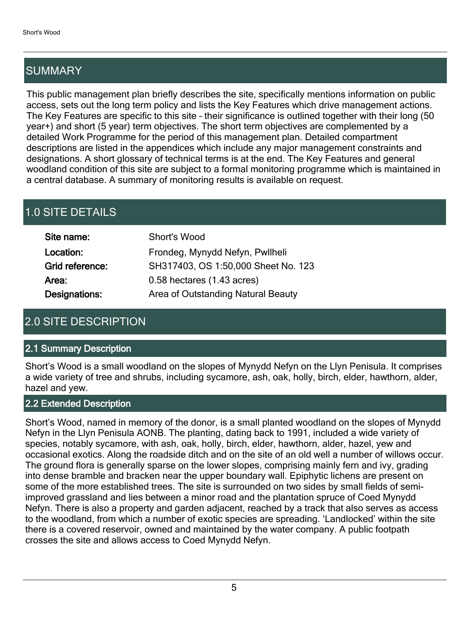## SUMMARY

This public management plan briefly describes the site, specifically mentions information on public access, sets out the long term policy and lists the Key Features which drive management actions. The Key Features are specific to this site - their significance is outlined together with their long (50 year+) and short (5 year) term objectives. The short term objectives are complemented by a detailed Work Programme for the period of this management plan. Detailed compartment descriptions are listed in the appendices which include any major management constraints and designations. A short glossary of technical terms is at the end. The Key Features and general woodland condition of this site are subject to a formal monitoring programme which is maintained in a central database. A summary of monitoring results is available on request.

## 1.0 SITE DETAILS

| Site name:      | Short's Wood                        |
|-----------------|-------------------------------------|
| Location:       | Frondeg, Mynydd Nefyn, Pwllheli     |
| Grid reference: | SH317403, OS 1:50,000 Sheet No. 123 |
| Area:           | 0.58 hectares (1.43 acres)          |
| Designations:   | Area of Outstanding Natural Beauty  |

## 2.0 SITE DESCRIPTION

#### 2.1 Summary Description

Short's Wood is a small woodland on the slopes of Mynydd Nefyn on the Llyn Penisula. It comprises a wide variety of tree and shrubs, including sycamore, ash, oak, holly, birch, elder, hawthorn, alder, hazel and yew.

#### 2.2 Extended Description

Short's Wood, named in memory of the donor, is a small planted woodland on the slopes of Mynydd Nefyn in the Llyn Penisula AONB. The planting, dating back to 1991, included a wide variety of species, notably sycamore, with ash, oak, holly, birch, elder, hawthorn, alder, hazel, yew and occasional exotics. Along the roadside ditch and on the site of an old well a number of willows occur. The ground flora is generally sparse on the lower slopes, comprising mainly fern and ivy, grading into dense bramble and bracken near the upper boundary wall. Epiphytic lichens are present on some of the more established trees. The site is surrounded on two sides by small fields of semiimproved grassland and lies between a minor road and the plantation spruce of Coed Mynydd Nefyn. There is also a property and garden adjacent, reached by a track that also serves as access to the woodland, from which a number of exotic species are spreading. 'Landlocked' within the site there is a covered reservoir, owned and maintained by the water company. A public footpath crosses the site and allows access to Coed Mynydd Nefyn.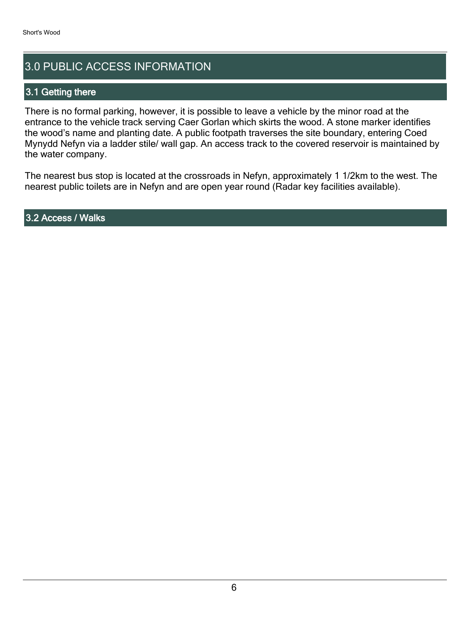## 3.0 PUBLIC ACCESS INFORMATION

#### 3.1 Getting there

There is no formal parking, however, it is possible to leave a vehicle by the minor road at the entrance to the vehicle track serving Caer Gorlan which skirts the wood. A stone marker identifies the wood's name and planting date. A public footpath traverses the site boundary, entering Coed Mynydd Nefyn via a ladder stile/ wall gap. An access track to the covered reservoir is maintained by the water company.

The nearest bus stop is located at the crossroads in Nefyn, approximately 1 1/2km to the west. The nearest public toilets are in Nefyn and are open year round (Radar key facilities available).

3.2 Access / Walks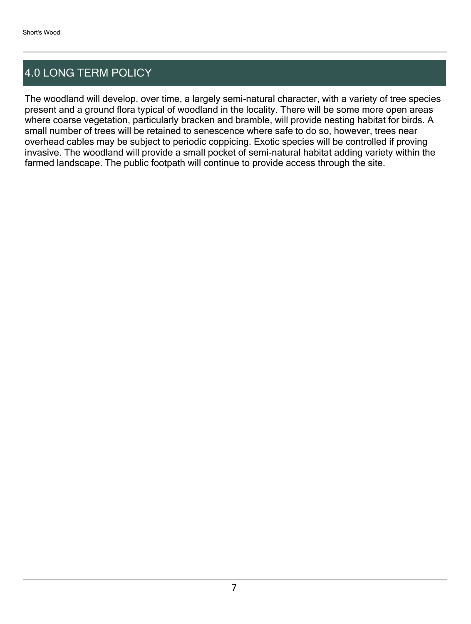## 4.0 LONG TERM POLICY

The woodland will develop, over time, a largely semi-natural character, with a variety of tree species present and a ground flora typical of woodland in the locality. There will be some more open areas where coarse vegetation, particularly bracken and bramble, will provide nesting habitat for birds. A small number of trees will be retained to senescence where safe to do so, however, trees near overhead cables may be subject to periodic coppicing. Exotic species will be controlled if proving invasive. The woodland will provide a small pocket of semi-natural habitat adding variety within the farmed landscape. The public footpath will continue to provide access through the site.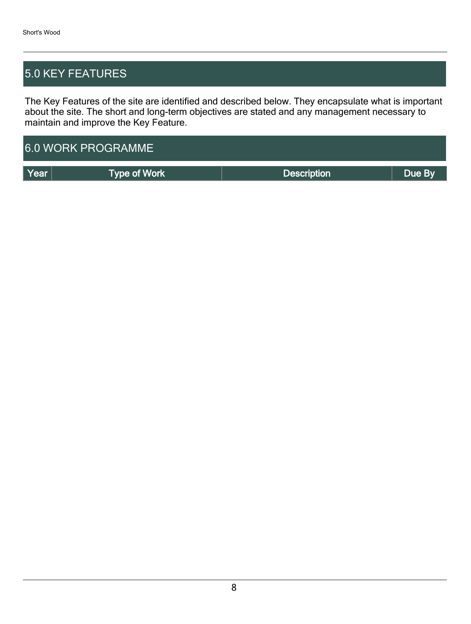## 5.0 KEY FEATURES

The Key Features of the site are identified and described below. They encapsulate what is important about the site. The short and long-term objectives are stated and any management necessary to maintain and improve the Key Feature.

| <b>6.0 WORK PROGRAMME</b> |                     |                    |        |  |  |  |  |  |
|---------------------------|---------------------|--------------------|--------|--|--|--|--|--|
| l Year                    | <b>Type of Work</b> | <b>Description</b> | Due By |  |  |  |  |  |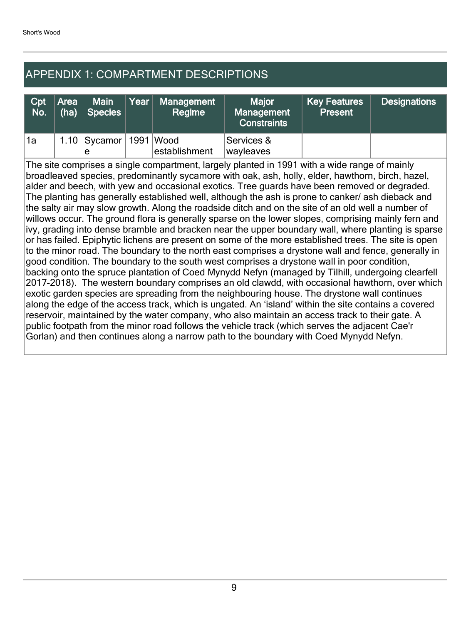## APPENDIX 1: COMPARTMENT DESCRIPTIONS

| Cpt<br>No. | l'Area ∥<br>(ha) | <b>Main</b><br><b>Species</b> | $\gamma$ ear $\nu$ | Management<br>Regime       | <b>Maior</b><br>Management<br><b>Constraints</b> | Key Features<br><b>Present</b> | <b>Designations</b> |
|------------|------------------|-------------------------------|--------------------|----------------------------|--------------------------------------------------|--------------------------------|---------------------|
| 1a         |                  | 1.10 $ Sycamor $<br>e         |                    | 1991 Wood<br>establishment | Services &<br>wayleaves                          |                                |                     |

The site comprises a single compartment, largely planted in 1991 with a wide range of mainly broadleaved species, predominantly sycamore with oak, ash, holly, elder, hawthorn, birch, hazel, alder and beech, with yew and occasional exotics. Tree guards have been removed or degraded. The planting has generally established well, although the ash is prone to canker/ ash dieback and the salty air may slow growth. Along the roadside ditch and on the site of an old well a number of willows occur. The ground flora is generally sparse on the lower slopes, comprising mainly fern and ivy, grading into dense bramble and bracken near the upper boundary wall, where planting is sparse or has failed. Epiphytic lichens are present on some of the more established trees. The site is open to the minor road. The boundary to the north east comprises a drystone wall and fence, generally in good condition. The boundary to the south west comprises a drystone wall in poor condition, backing onto the spruce plantation of Coed Mynydd Nefyn (managed by Tilhill, undergoing clearfell 2017-2018). The western boundary comprises an old clawdd, with occasional hawthorn, over which exotic garden species are spreading from the neighbouring house. The drystone wall continues along the edge of the access track, which is ungated. An 'island' within the site contains a covered reservoir, maintained by the water company, who also maintain an access track to their gate. A public footpath from the minor road follows the vehicle track (which serves the adjacent Cae'r Gorlan) and then continues along a narrow path to the boundary with Coed Mynydd Nefyn.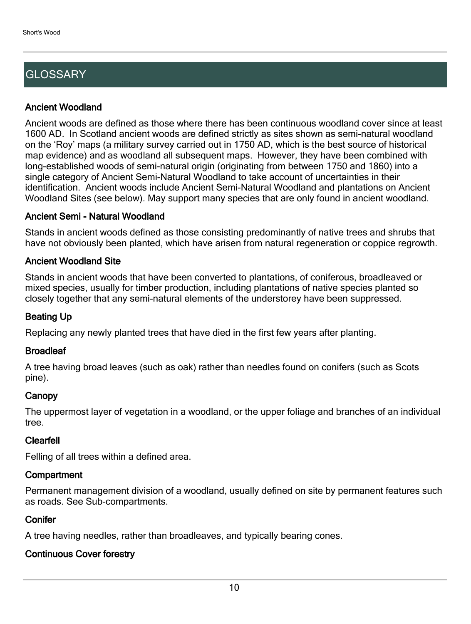## **GLOSSARY**

#### Ancient Woodland

Ancient woods are defined as those where there has been continuous woodland cover since at least 1600 AD. In Scotland ancient woods are defined strictly as sites shown as semi-natural woodland on the 'Roy' maps (a military survey carried out in 1750 AD, which is the best source of historical map evidence) and as woodland all subsequent maps. However, they have been combined with long-established woods of semi-natural origin (originating from between 1750 and 1860) into a single category of Ancient Semi-Natural Woodland to take account of uncertainties in their identification. Ancient woods include Ancient Semi-Natural Woodland and plantations on Ancient Woodland Sites (see below). May support many species that are only found in ancient woodland.

#### Ancient Semi - Natural Woodland

Stands in ancient woods defined as those consisting predominantly of native trees and shrubs that have not obviously been planted, which have arisen from natural regeneration or coppice regrowth.

#### Ancient Woodland Site

Stands in ancient woods that have been converted to plantations, of coniferous, broadleaved or mixed species, usually for timber production, including plantations of native species planted so closely together that any semi-natural elements of the understorey have been suppressed.

#### Beating Up

Replacing any newly planted trees that have died in the first few years after planting.

#### **Broadleaf**

A tree having broad leaves (such as oak) rather than needles found on conifers (such as Scots pine).

#### **Canopy**

The uppermost layer of vegetation in a woodland, or the upper foliage and branches of an individual tree.

#### Clearfell

Felling of all trees within a defined area.

#### **Compartment**

Permanent management division of a woodland, usually defined on site by permanent features such as roads. See Sub-compartments.

#### **Conifer**

A tree having needles, rather than broadleaves, and typically bearing cones.

#### Continuous Cover forestry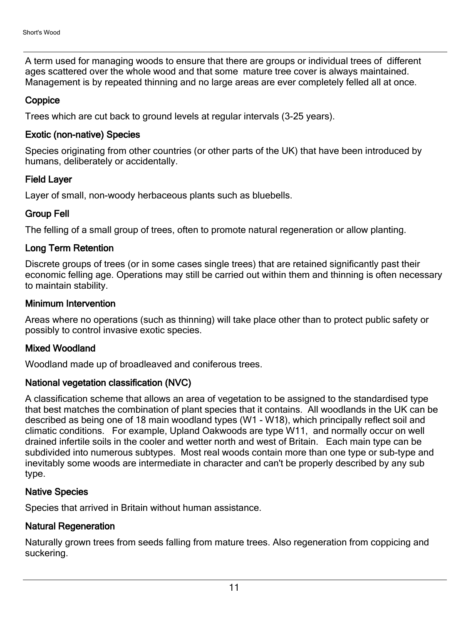A term used for managing woods to ensure that there are groups or individual trees of different ages scattered over the whole wood and that some mature tree cover is always maintained. Management is by repeated thinning and no large areas are ever completely felled all at once.

#### **Coppice**

Trees which are cut back to ground levels at regular intervals (3-25 years).

#### Exotic (non-native) Species

Species originating from other countries (or other parts of the UK) that have been introduced by humans, deliberately or accidentally.

#### Field Layer

Layer of small, non-woody herbaceous plants such as bluebells.

#### Group Fell

The felling of a small group of trees, often to promote natural regeneration or allow planting.

#### Long Term Retention

Discrete groups of trees (or in some cases single trees) that are retained significantly past their economic felling age. Operations may still be carried out within them and thinning is often necessary to maintain stability.

#### Minimum Intervention

Areas where no operations (such as thinning) will take place other than to protect public safety or possibly to control invasive exotic species.

#### Mixed Woodland

Woodland made up of broadleaved and coniferous trees.

#### National vegetation classification (NVC)

A classification scheme that allows an area of vegetation to be assigned to the standardised type that best matches the combination of plant species that it contains. All woodlands in the UK can be described as being one of 18 main woodland types (W1 - W18), which principally reflect soil and climatic conditions. For example, Upland Oakwoods are type W11, and normally occur on well drained infertile soils in the cooler and wetter north and west of Britain. Each main type can be subdivided into numerous subtypes. Most real woods contain more than one type or sub-type and inevitably some woods are intermediate in character and can't be properly described by any sub type.

#### Native Species

Species that arrived in Britain without human assistance.

#### Natural Regeneration

Naturally grown trees from seeds falling from mature trees. Also regeneration from coppicing and suckering.